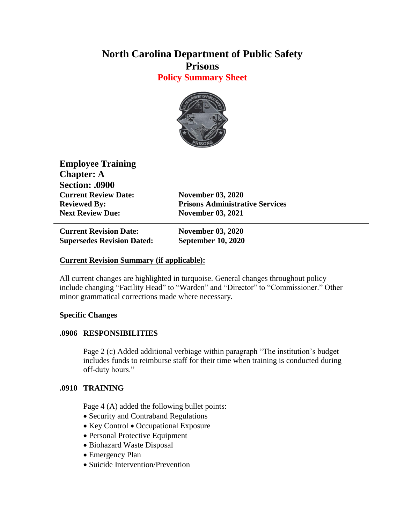# **North Carolina Department of Public Safety Prisons**

**Policy Summary Sheet**



**Employee Training Chapter: A Section: .0900 Current Review Date: November 03, 2020 Next Review Due: November 03, 2021**

**Reviewed By: Prisons Administrative Services**

**Current Revision Date: November 03, 2020 Supersedes Revision Dated: September 10, 2020**

### **Current Revision Summary (if applicable):**

All current changes are highlighted in turquoise. General changes throughout policy include changing "Facility Head" to "Warden" and "Director" to "Commissioner." Other minor grammatical corrections made where necessary.

## **Specific Changes**

## **.0906 RESPONSIBILITIES**

Page 2 (c) Added additional verbiage within paragraph "The institution's budget includes funds to reimburse staff for their time when training is conducted during off-duty hours."

## **.0910 TRAINING**

Page 4 (A) added the following bullet points:

- Security and Contraband Regulations
- Key Control Occupational Exposure
- Personal Protective Equipment
- Biohazard Waste Disposal
- Emergency Plan
- Suicide Intervention/Prevention